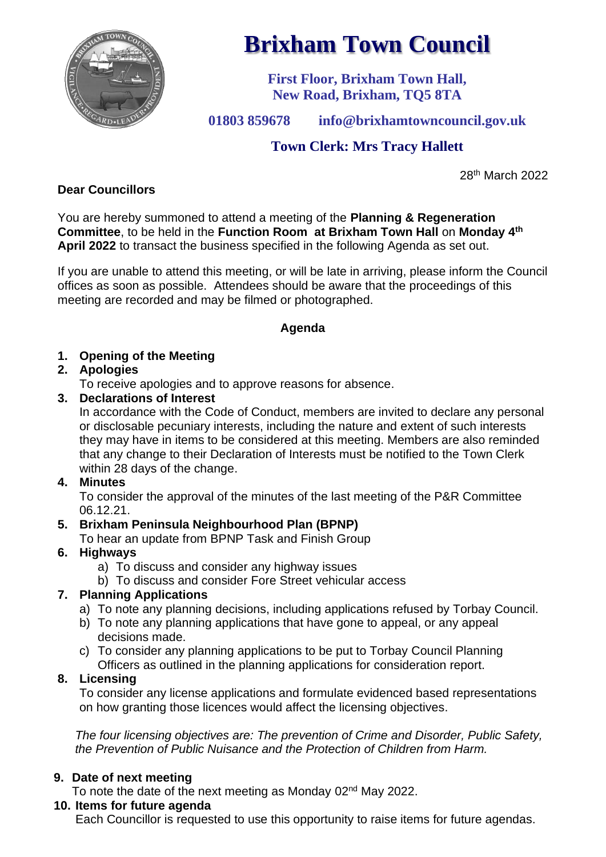

# **Brixham Town Council**

**First Floor, Brixham Town Hall, New Road, Brixham, TQ5 8TA**

**01803 859678 info@brixhamtowncouncil.gov.uk**

# **Town Clerk: Mrs Tracy Hallett**

28th March 2022

# **Dear Councillors**

You are hereby summoned to attend a meeting of the **Planning & Regeneration Committee**, to be held in the **Function Room at Brixham Town Hall** on **Monday 4 th April 2022** to transact the business specified in the following Agenda as set out.

If you are unable to attend this meeting, or will be late in arriving, please inform the Council offices as soon as possible. Attendees should be aware that the proceedings of this meeting are recorded and may be filmed or photographed.

#### **Agenda**

## **1. Opening of the Meeting**

## **2. Apologies**

To receive apologies and to approve reasons for absence.

## **3. Declarations of Interest**

In accordance with the Code of Conduct, members are invited to declare any personal or disclosable pecuniary interests, including the nature and extent of such interests they may have in items to be considered at this meeting. Members are also reminded that any change to their Declaration of Interests must be notified to the Town Clerk within 28 days of the change.

#### **4. Minutes**

To consider the approval of the minutes of the last meeting of the P&R Committee 06.12.21.

#### **5. Brixham Peninsula Neighbourhood Plan (BPNP)**

To hear an update from BPNP Task and Finish Group

# **6. Highways**

- a) To discuss and consider any highway issues
- b) To discuss and consider Fore Street vehicular access

# **7. Planning Applications**

- a) To note any planning decisions, including applications refused by Torbay Council.
- b) To note any planning applications that have gone to appeal, or any appeal decisions made.
- c) To consider any planning applications to be put to Torbay Council Planning Officers as outlined in the planning applications for consideration report.

# **8. Licensing**

To consider any license applications and formulate evidenced based representations on how granting those licences would affect the licensing objectives.

*The four licensing objectives are: The prevention of Crime and Disorder, Public Safety, the Prevention of Public Nuisance and the Protection of Children from Harm.*

# **9. Date of next meeting**

To note the date of the next meeting as Monday 02<sup>nd</sup> May 2022.

# **10. Items for future agenda**

Each Councillor is requested to use this opportunity to raise items for future agendas.